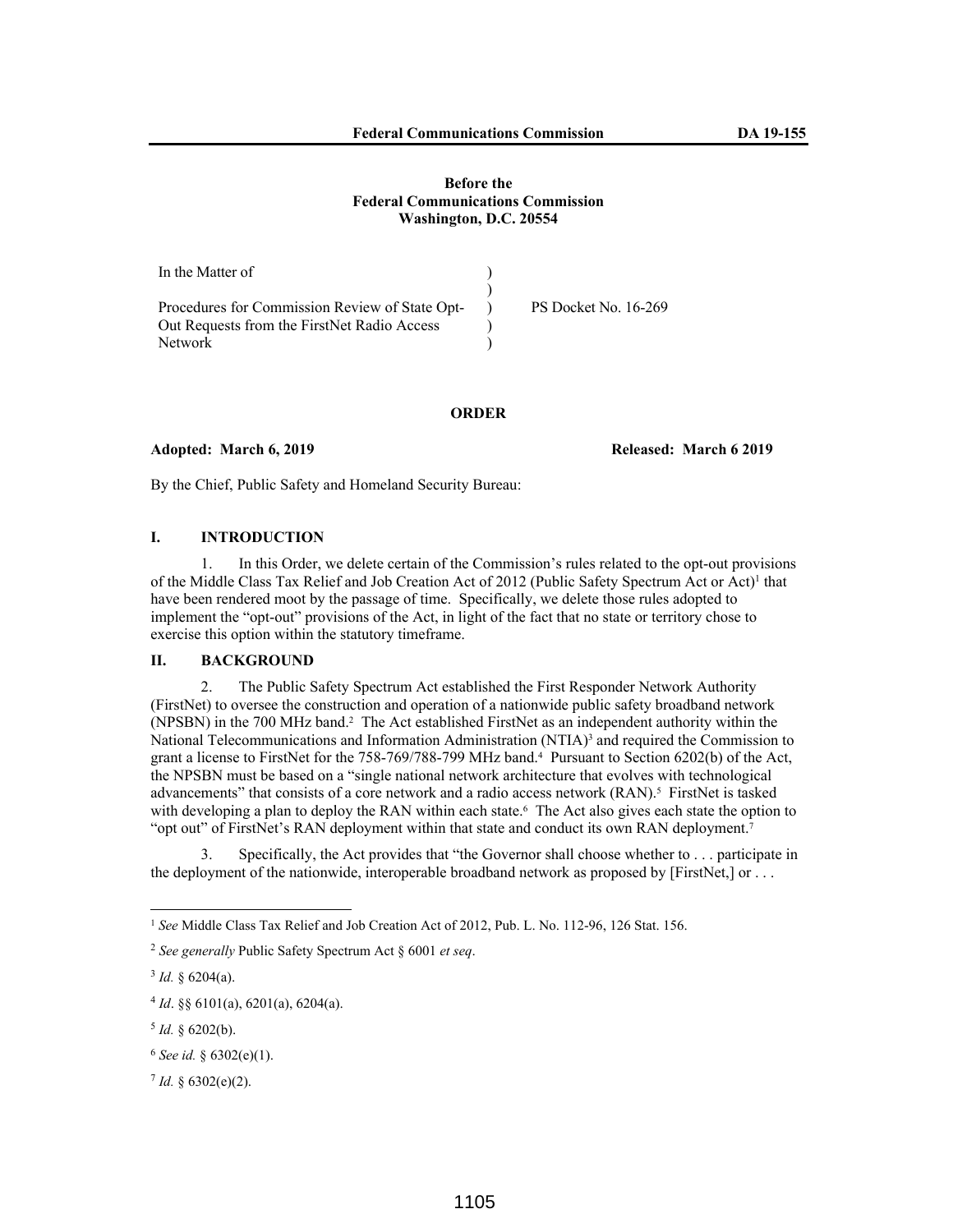| In the Matter of                               |                             |
|------------------------------------------------|-----------------------------|
|                                                |                             |
| Procedures for Commission Review of State Opt- | <b>PS Docket No. 16-269</b> |
| Out Requests from the FirstNet Radio Access    |                             |
| <b>Network</b>                                 |                             |

**ORDER** 

# **Adopted: March 6, 2019 Released: March 6 2019**

By the Chief, Public Safety and Homeland Security Bureau:

# **I. INTRODUCTION**

1. In this Order, we delete certain of the Commission's rules related to the opt-out provisions of the Middle Class Tax Relief and Job Creation Act of 2012 (Public Safety Spectrum Act or Act)<sup>1</sup> that have been rendered moot by the passage of time. Specifically, we delete those rules adopted to implement the "opt-out" provisions of the Act, in light of the fact that no state or territory chose to exercise this option within the statutory timeframe.

### **II. BACKGROUND**

2. The Public Safety Spectrum Act established the First Responder Network Authority (FirstNet) to oversee the construction and operation of a nationwide public safety broadband network (NPSBN) in the 700 MHz band.<sup>2</sup> The Act established FirstNet as an independent authority within the National Telecommunications and Information Administration (NTIA)<sup>3</sup> and required the Commission to grant a license to FirstNet for the 758-769/788-799 MHz band.<sup>4</sup> Pursuant to Section 6202(b) of the Act, the NPSBN must be based on a "single national network architecture that evolves with technological advancements" that consists of a core network and a radio access network (RAN).<sup>5</sup> FirstNet is tasked with developing a plan to deploy the RAN within each state.<sup>6</sup> The Act also gives each state the option to "opt out" of FirstNet's RAN deployment within that state and conduct its own RAN deployment.<sup>7</sup>

3. Specifically, the Act provides that "the Governor shall choose whether to . . . participate in the deployment of the nationwide, interoperable broadband network as proposed by [FirstNet,] or . . .

<sup>&</sup>lt;sup>1</sup> See Middle Class Tax Relief and Job Creation Act of 2012, Pub. L. No. 112-96, 126 Stat. 156.

<sup>2</sup> *See generally* Public Safety Spectrum Act § 6001 *et seq*.

 $3$  *Id.* § 6204(a).

 $4$  *Id*. §§ 6101(a), 6201(a), 6204(a).

 $5$  *Id.* § 6202(b).

 $6$  *See id.* § 6302(e)(1).

 $7$  *Id.* § 6302(e)(2).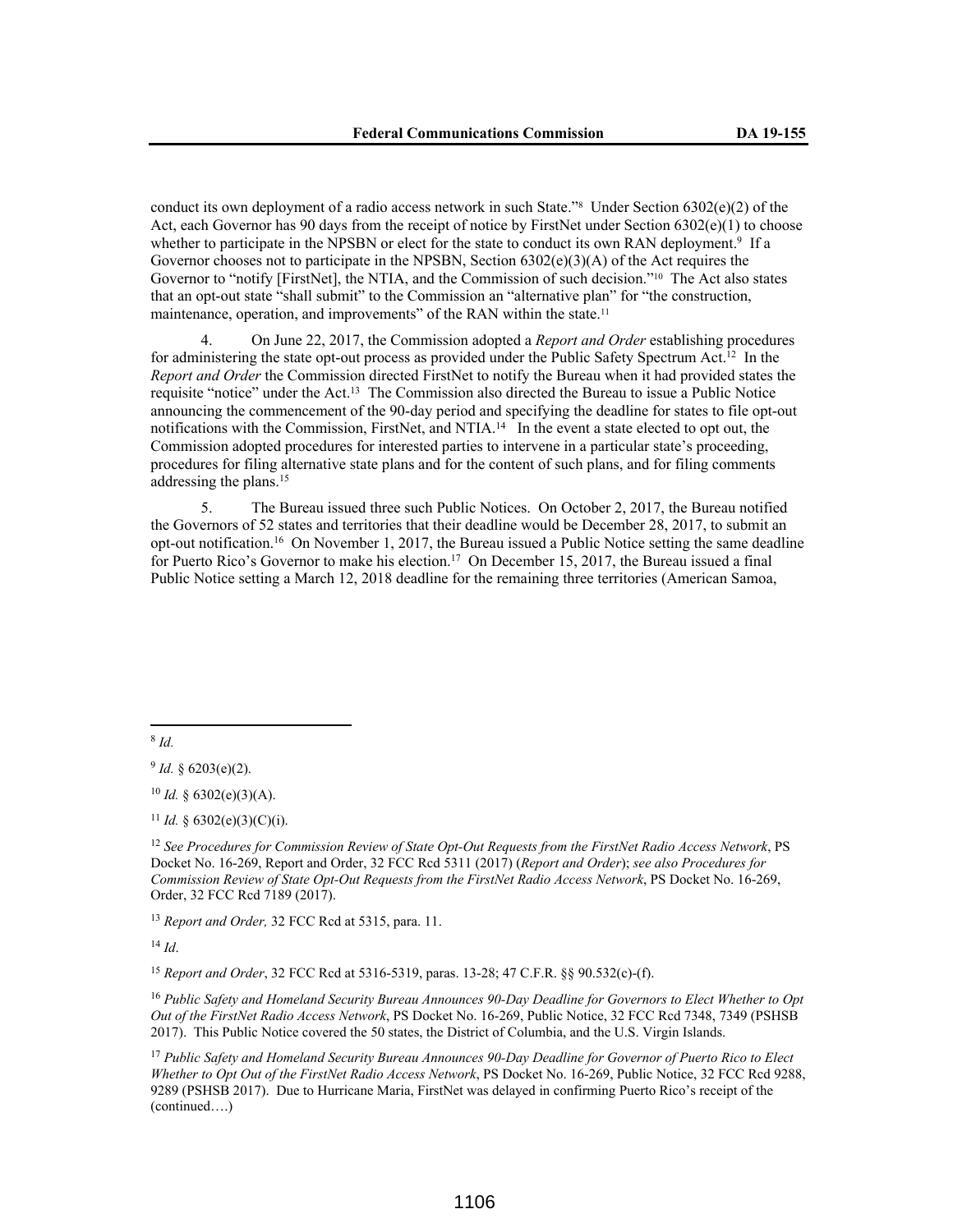conduct its own deployment of a radio access network in such State.<sup>78</sup> Under Section 6302(e)(2) of the Act, each Governor has 90 days from the receipt of notice by FirstNet under Section 6302(e)(1) to choose whether to participate in the NPSBN or elect for the state to conduct its own RAN deployment.<sup>9</sup> If a Governor chooses not to participate in the NPSBN, Section  $6302(e)(3)(A)$  of the Act requires the Governor to "notify [FirstNet], the NTIA, and the Commission of such decision."10 The Act also states that an opt-out state "shall submit" to the Commission an "alternative plan" for "the construction, maintenance, operation, and improvements" of the RAN within the state.<sup>11</sup>

4. On June 22, 2017, the Commission adopted a *Report and Order* establishing procedures for administering the state opt-out process as provided under the Public Safety Spectrum Act.<sup>12</sup> In the *Report and Order* the Commission directed FirstNet to notify the Bureau when it had provided states the requisite "notice" under the Act.<sup>13</sup> The Commission also directed the Bureau to issue a Public Notice announcing the commencement of the 90-day period and specifying the deadline for states to file opt-out notifications with the Commission, FirstNet, and NTIA.<sup>14</sup> In the event a state elected to opt out, the Commission adopted procedures for interested parties to intervene in a particular state's proceeding, procedures for filing alternative state plans and for the content of such plans, and for filing comments addressing the plans.<sup>15</sup>

5. The Bureau issued three such Public Notices. On October 2, 2017, the Bureau notified the Governors of 52 states and territories that their deadline would be December 28, 2017, to submit an opt-out notification.<sup>16</sup> On November 1, 2017, the Bureau issued a Public Notice setting the same deadline for Puerto Rico's Governor to make his election.<sup>17</sup> On December 15, 2017, the Bureau issued a final Public Notice setting a March 12, 2018 deadline for the remaining three territories (American Samoa,

8 *Id.*

<sup>12</sup> *See Procedures for Commission Review of State Opt-Out Requests from the FirstNet Radio Access Network*, PS Docket No. 16-269, Report and Order, 32 FCC Rcd 5311 (2017) (*Report and Order*); *see also Procedures for Commission Review of State Opt-Out Requests from the FirstNet Radio Access Network*, PS Docket No. 16-269, Order, 32 FCC Rcd 7189 (2017).

<sup>13</sup> *Report and Order,* 32 FCC Rcd at 5315, para. 11.

<sup>14</sup> *Id*.

<sup>15</sup> *Report and Order*, 32 FCC Rcd at 5316-5319, paras. 13-28; 47 C.F.R. §§ 90.532(c)-(f).

<sup>16</sup> *Public Safety and Homeland Security Bureau Announces 90-Day Deadline for Governors to Elect Whether to Opt Out of the FirstNet Radio Access Network*, PS Docket No. 16-269, Public Notice, 32 FCC Rcd 7348, 7349 (PSHSB 2017). This Public Notice covered the 50 states, the District of Columbia, and the U.S. Virgin Islands.

<sup>17</sup> *Public Safety and Homeland Security Bureau Announces 90-Day Deadline for Governor of Puerto Rico to Elect Whether to Opt Out of the FirstNet Radio Access Network*, PS Docket No. 16-269, Public Notice, 32 FCC Rcd 9288, 9289 (PSHSB 2017). Due to Hurricane Maria, FirstNet was delayed in confirming Puerto Rico's receipt of the (continued….)

 $9$  *Id.* § 6203(e)(2).

 $10$  *Id.* § 6302(e)(3)(A).

<sup>&</sup>lt;sup>11</sup> *Id.* § 6302(e)(3)(C)(i).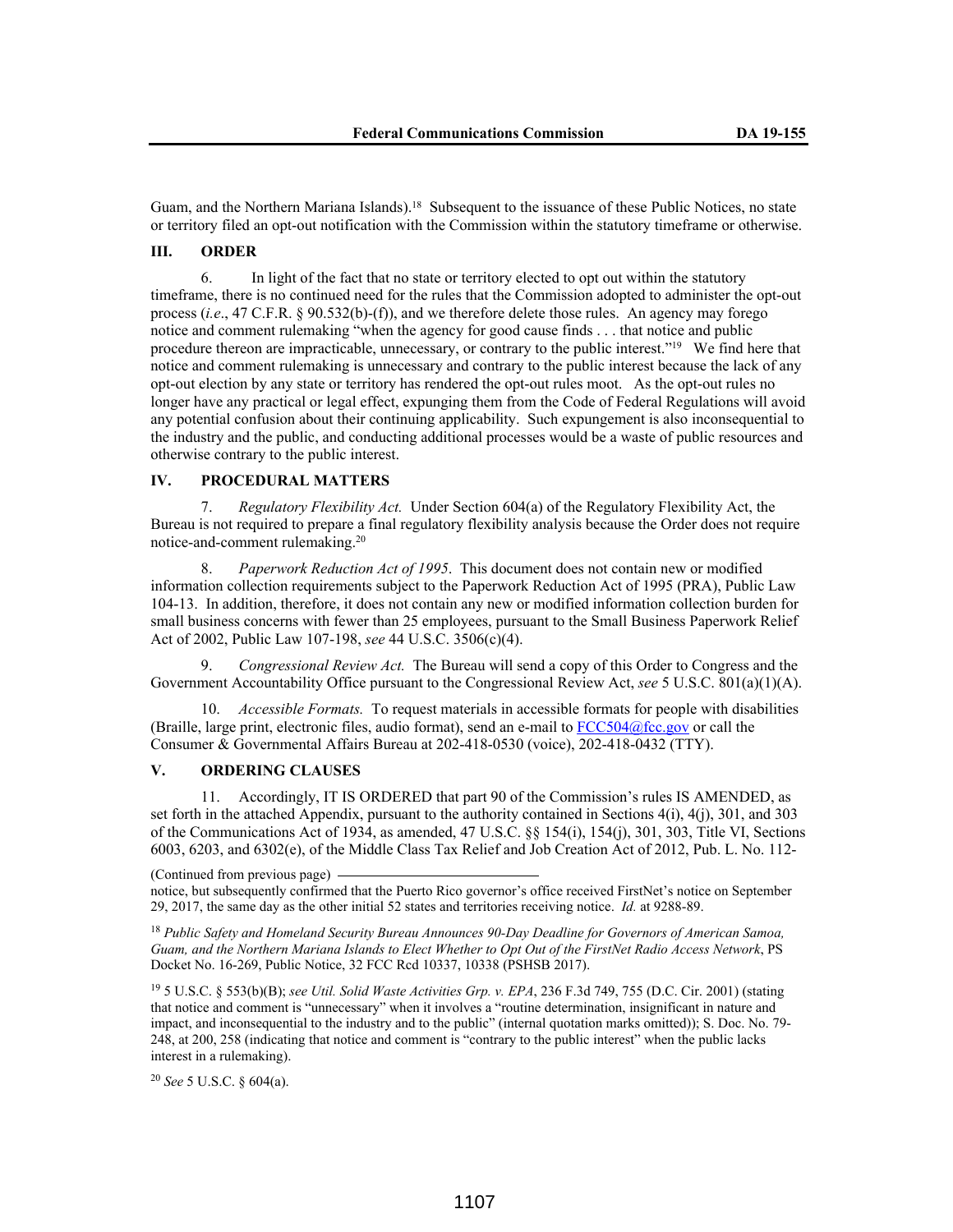Guam, and the Northern Mariana Islands).<sup>18</sup> Subsequent to the issuance of these Public Notices, no state or territory filed an opt-out notification with the Commission within the statutory timeframe or otherwise.

### **III. ORDER**

6. In light of the fact that no state or territory elected to opt out within the statutory timeframe, there is no continued need for the rules that the Commission adopted to administer the opt-out process (*i.e*., 47 C.F.R. § 90.532(b)-(f)), and we therefore delete those rules. An agency may forego notice and comment rulemaking "when the agency for good cause finds . . . that notice and public procedure thereon are impracticable, unnecessary, or contrary to the public interest."<sup>19</sup> We find here that notice and comment rulemaking is unnecessary and contrary to the public interest because the lack of any opt-out election by any state or territory has rendered the opt-out rules moot. As the opt-out rules no longer have any practical or legal effect, expunging them from the Code of Federal Regulations will avoid any potential confusion about their continuing applicability. Such expungement is also inconsequential to the industry and the public, and conducting additional processes would be a waste of public resources and otherwise contrary to the public interest.

# **IV. PROCEDURAL MATTERS**

7. *Regulatory Flexibility Act.* Under Section 604(a) of the Regulatory Flexibility Act, the Bureau is not required to prepare a final regulatory flexibility analysis because the Order does not require notice-and-comment rulemaking.<sup>20</sup>

8. *Paperwork Reduction Act of 1995*. This document does not contain new or modified information collection requirements subject to the Paperwork Reduction Act of 1995 (PRA), Public Law 104-13. In addition, therefore, it does not contain any new or modified information collection burden for small business concerns with fewer than 25 employees, pursuant to the Small Business Paperwork Relief Act of 2002, Public Law 107-198, *see* 44 U.S.C. 3506(c)(4).

9. *Congressional Review Act.* The Bureau will send a copy of this Order to Congress and the Government Accountability Office pursuant to the Congressional Review Act, *see* 5 U.S.C. 801(a)(1)(A).

10. *Accessible Formats.* To request materials in accessible formats for people with disabilities (Braille, large print, electronic files, audio format), send an e-mail to  $FCC504@$ fcc.gov or call the Consumer & Governmental Affairs Bureau at 202-418-0530 (voice), 202-418-0432 (TTY).

# **V. ORDERING CLAUSES**

11. Accordingly, IT IS ORDERED that part 90 of the Commission's rules IS AMENDED, as set forth in the attached Appendix, pursuant to the authority contained in Sections 4(i), 4(j), 301, and 303 of the Communications Act of 1934, as amended, 47 U.S.C. §§ 154(i), 154(j), 301, 303, Title VI, Sections 6003, 6203, and 6302(e), of the Middle Class Tax Relief and Job Creation Act of 2012, Pub. L. No. 112-

(Continued from previous page) notice, but subsequently confirmed that the Puerto Rico governor's office received FirstNet's notice on September 29, 2017, the same day as the other initial 52 states and territories receiving notice. *Id.* at 9288-89.

<sup>18</sup> *Public Safety and Homeland Security Bureau Announces 90-Day Deadline for Governors of American Samoa, Guam, and the Northern Mariana Islands to Elect Whether to Opt Out of the FirstNet Radio Access Network*, PS Docket No. 16-269, Public Notice, 32 FCC Rcd 10337, 10338 (PSHSB 2017).

<sup>19</sup> 5 U.S.C. § 553(b)(B); *see Util. Solid Waste Activities Grp. v. EPA*, 236 F.3d 749, 755 (D.C. Cir. 2001) (stating that notice and comment is "unnecessary" when it involves a "routine determination, insignificant in nature and impact, and inconsequential to the industry and to the public" (internal quotation marks omitted)); S. Doc. No. 79- 248, at 200, 258 (indicating that notice and comment is "contrary to the public interest" when the public lacks interest in a rulemaking).

<sup>20</sup> *See* 5 U.S.C. § 604(a).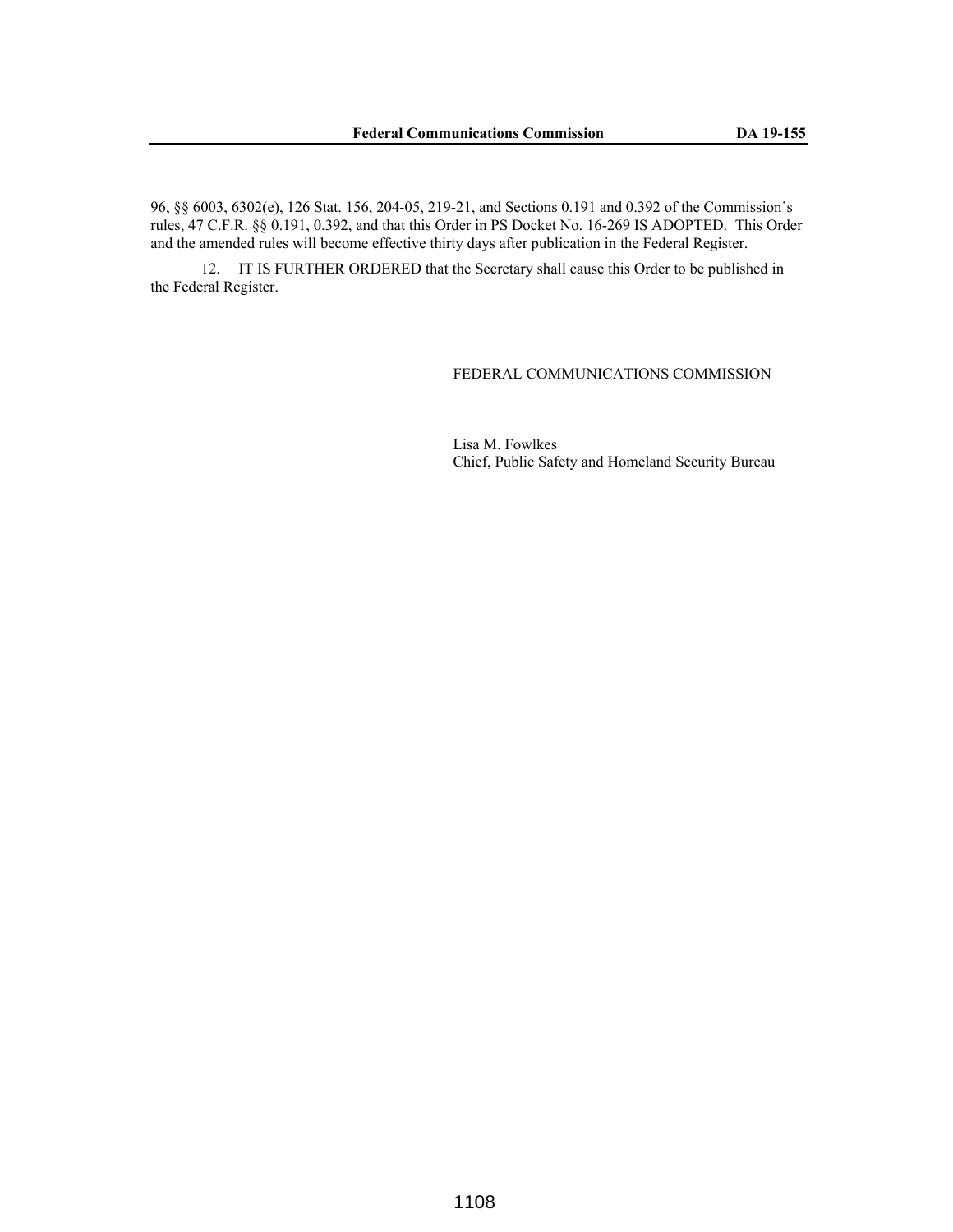96, §§ 6003, 6302(e), 126 Stat. 156, 204-05, 219-21, and Sections 0.191 and 0.392 of the Commission's rules, 47 C.F.R. §§ 0.191, 0.392, and that this Order in PS Docket No. 16-269 IS ADOPTED. This Order and the amended rules will become effective thirty days after publication in the Federal Register.

12. IT IS FURTHER ORDERED that the Secretary shall cause this Order to be published in the Federal Register.

### FEDERAL COMMUNICATIONS COMMISSION

Lisa M. Fowlkes Chief, Public Safety and Homeland Security Bureau